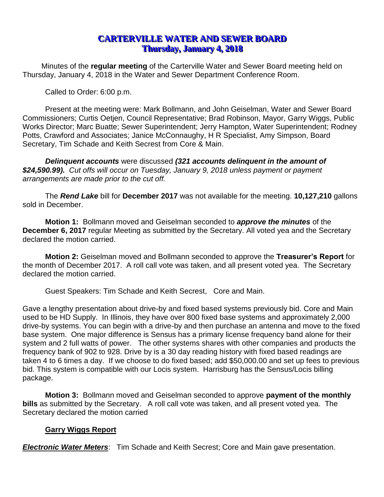# **CARTERVILLE WATER AND SEWER BOARD Thursday, January 4, 2018**

Minutes of the **regular meeting** of the Carterville Water and Sewer Board meeting held on Thursday, January 4, 2018 in the Water and Sewer Department Conference Room.

Called to Order: 6:00 p.m.

Present at the meeting were: Mark Bollmann, and John Geiselman, Water and Sewer Board Commissioners; Curtis Oetjen, Council Representative; Brad Robinson, Mayor, Garry Wiggs, Public Works Director; Marc Buatte; Sewer Superintendent; Jerry Hampton, Water Superintendent; Rodney Potts, Crawford and Associates; Janice McConnaughy, H R Specialist, Amy Simpson, Board Secretary, Tim Schade and Keith Secrest from Core & Main.

*Delinquent accounts* were discussed *(321 accounts delinquent in the amount of \$24,590.99). Cut offs will occur on Tuesday, January 9, 2018 unless payment or payment arrangements are made prior to the cut off.*

The *Rend Lake* bill for **December 2017** was not available for the meeting. **10,127,210** gallons sold in December.

**Motion 1:** Bollmann moved and Geiselman seconded to *approve the minutes* of the **December 6, 2017** regular Meeting as submitted by the Secretary. All voted yea and the Secretary declared the motion carried.

**Motion 2:** Geiselman moved and Bollmann seconded to approve the **Treasurer's Report** for the month of December 2017. A roll call vote was taken, and all present voted yea. The Secretary declared the motion carried.

Guest Speakers: Tim Schade and Keith Secrest, Core and Main.

Gave a lengthy presentation about drive-by and fixed based systems previously bid. Core and Main used to be HD Supply. In Illinois, they have over 800 fixed base systems and approximately 2,000 drive-by systems. You can begin with a drive-by and then purchase an antenna and move to the fixed base system. One major difference is Sensus has a primary license frequency band alone for their system and 2 full watts of power. The other systems shares with other companies and products the frequency bank of 902 to 928. Drive by is a 30 day reading history with fixed based readings are taken 4 to 6 times a day. If we choose to do fixed based; add \$50,000.00 and set up fees to previous bid. This system is compatible with our Locis system. Harrisburg has the Sensus/Locis billing package.

**Motion 3:** Bollmann moved and Geiselman seconded to approve **payment of the monthly bills** as submitted by the Secretary. A roll call vote was taken, and all present voted yea. The Secretary declared the motion carried

### **Garry Wiggs Report**

*Electronic Water Meters*: Tim Schade and Keith Secrest; Core and Main gave presentation.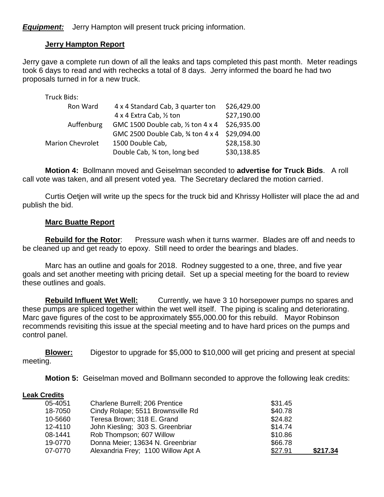*Equipment:* Jerry Hampton will present truck pricing information.

# **Jerry Hampton Report**

Jerry gave a complete run down of all the leaks and taps completed this past month. Meter readings took 6 days to read and with rechecks a total of 8 days. Jerry informed the board he had two proposals turned in for a new truck.

| Truck Bids:             |                                    |             |
|-------------------------|------------------------------------|-------------|
| Ron Ward                | 4 x 4 Standard Cab, 3 quarter ton  | \$26,429.00 |
|                         | 4 x 4 Extra Cab, 1/2 ton           | \$27,190.00 |
| Auffenburg              | GMC 1500 Double cab, 1/2 ton 4 x 4 | \$26,935.00 |
|                         | GMC 2500 Double Cab, 3⁄4 ton 4 x 4 | \$29,094.00 |
| <b>Marion Chevrolet</b> | 1500 Double Cab,                   | \$28,158.30 |
|                         | Double Cab, 3⁄4 ton, long bed      | \$30,138.85 |

**Motion 4:** Bollmann moved and Geiselman seconded to **advertise for Truck Bids**. A roll call vote was taken, and all present voted yea. The Secretary declared the motion carried.

Curtis Oetjen will write up the specs for the truck bid and Khrissy Hollister will place the ad and publish the bid.

### **Marc Buatte Report**

**Rebuild for the Rotor**: Pressure wash when it turns warmer. Blades are off and needs to be cleaned up and get ready to epoxy. Still need to order the bearings and blades.

Marc has an outline and goals for 2018. Rodney suggested to a one, three, and five year goals and set another meeting with pricing detail. Set up a special meeting for the board to review these outlines and goals.

**Rebuild Influent Wet Well:** Currently, we have 3 10 horsepower pumps no spares and these pumps are spliced together within the wet well itself. The piping is scaling and deteriorating. Marc gave figures of the cost to be approximately \$55,000.00 for this rebuild. Mayor Robinson recommends revisiting this issue at the special meeting and to have hard prices on the pumps and control panel.

**Blower:** Digestor to upgrade for \$5,000 to \$10,000 will get pricing and present at special meeting.

**Motion 5:** Geiselman moved and Bollmann seconded to approve the following leak credits:

#### **Leak Credits**

| 05-4051 | Charlene Burrell; 206 Prentice     | \$31.45 |          |
|---------|------------------------------------|---------|----------|
| 18-7050 | Cindy Rolape; 5511 Brownsville Rd  | \$40.78 |          |
| 10-5660 | Teresa Brown; 318 E. Grand         | \$24.82 |          |
| 12-4110 | John Kiesling; 303 S. Greenbriar   | \$14.74 |          |
| 08-1441 | Rob Thompson; 607 Willow           | \$10.86 |          |
| 19-0770 | Donna Meier; 13634 N. Greenbriar   | \$66.78 |          |
| 07-0770 | Alexandria Frey; 1100 Willow Apt A | \$27.91 | \$217.34 |